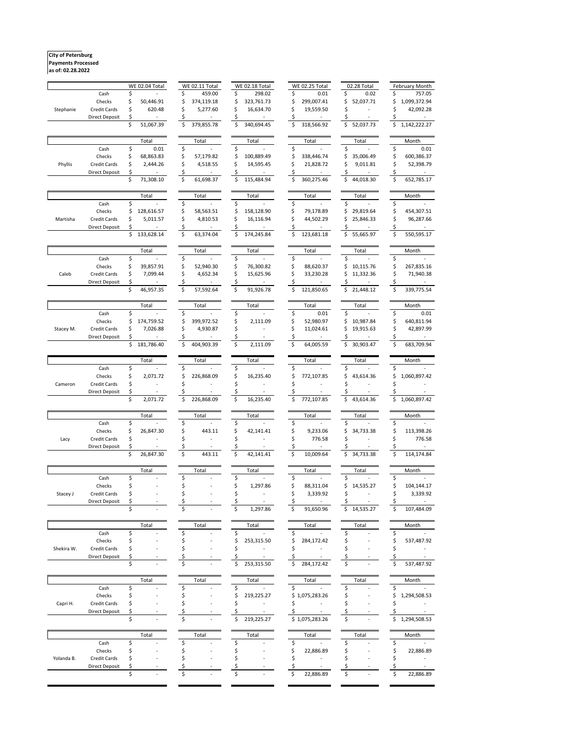**City of Petersburg Payments Processed**

**as of: 02.28.2022**

|            |                       |    | <b>WE 02.04 Total</b> |    | <b>WE 02.11 Total</b> | <b>WE 02.18 Total</b> |    | <b>WE 02.25 Total</b> |          | 02.28 Total |    | February Month |
|------------|-----------------------|----|-----------------------|----|-----------------------|-----------------------|----|-----------------------|----------|-------------|----|----------------|
|            | Cash                  | \$ |                       | \$ | 459.00                | \$<br>298.02          | \$ | 0.01                  | \$       | 0.02        | \$ | 757.05         |
|            | Checks                | \$ | 50,446.91             | \$ | 374,119.18            | \$<br>323,761.73      | \$ | 299,007.41            | \$       | 52,037.71   | \$ | 1,099,372.94   |
| Stephanie  | Credit Cards          | \$ | 620.48                | \$ | 5,277.60              | \$<br>16,634.70       | Ś  | 19,559.50             |          |             | Ś  | 42,092.28      |
|            | <b>Direct Deposit</b> | \$ |                       | \$ |                       | \$                    | S  |                       |          |             | S  |                |
|            |                       | \$ | 51,067.39             | \$ | 379,855.78            | \$<br>340,694.45      | \$ | 318,566.92            | \$       | 52,037.73   | \$ | 1,142,222.27   |
|            |                       |    | Total                 |    | Total                 | Total                 |    | Total                 |          | Total       |    | Month          |
|            | Cash                  | \$ | 0.01                  | \$ |                       | \$                    | \$ |                       | \$       |             | \$ | 0.01           |
|            | Checks                | \$ | 68,863.83             | \$ | 57,179.82             | \$<br>100,889.49      | \$ | 338,446.74            | \$       | 35,006.49   | \$ | 600,386.37     |
| Phyllis    | Credit Cards          | \$ | 2,444.26              | \$ | 4,518.55              | \$<br>14,595.45       | \$ | 21,828.72             | Ś        | 9,011.81    | \$ | 52,398.79      |
|            | <b>Direct Deposit</b> | \$ |                       | \$ |                       | \$                    |    |                       | Ś        |             |    |                |
|            |                       | \$ | 71,308.10             | \$ | 61,698.37             | \$<br>115,484.94      |    | 360,275.46            | \$       | 44,018.30   | \$ | 652,785.17     |
|            |                       |    | Total                 |    | Total                 | Total                 |    | Total                 |          | Total       |    | Month          |
|            | Cash                  | \$ |                       | \$ |                       | \$                    | \$ |                       | \$       |             | \$ |                |
|            | Checks                | \$ | 128,616.57            | \$ | 58,563.51             | \$<br>158,128.90      | \$ | 79,178.89             | Ś        | 29,819.64   | \$ | 454,307.51     |
| Martisha   | Credit Cards          | \$ | 5,011.57              | \$ | 4,810.53              | \$<br>16,116.94       | \$ | 44,502.29             | \$       | 25,846.33   | \$ | 96,287.66      |
|            | <b>Direct Deposit</b> | Ś  |                       | \$ |                       | \$                    | Ś  |                       |          |             | Ś  |                |
|            |                       | \$ | 133,628.14            | \$ | 63,374.04             | \$<br>174,245.84      | \$ | 123,681.18            | \$       | 55,665.97   | \$ | 550,595.17     |
|            |                       |    | Total                 |    | Total                 | Total                 |    | Total                 |          | Total       |    | Month          |
|            | Cash                  | \$ |                       | \$ |                       | \$                    | \$ |                       |          |             | \$ |                |
|            | Checks                | \$ | 39,857.91             | \$ | 52,940.30             | \$<br>76,300.82       | \$ | 88,620.37             | \$       | 10,115.76   | \$ | 267,835.16     |
| Caleb      | Credit Cards          | \$ | 7,099.44              | \$ | 4,652.34              | \$<br>15,625.96       | \$ | 33,230.28             |          | 11,332.36   | \$ | 71,940.38      |
|            | <b>Direct Deposit</b> | \$ |                       | \$ |                       | \$                    |    |                       |          |             | Ś  |                |
|            |                       | \$ | 46,957.35             | \$ | 57,592.64             | \$<br>91,926.78       | Ś  | 121,850.65            | Ś        | 21,448.12   | \$ | 339,775.54     |
|            |                       |    | Total                 |    | Total                 | Total                 |    | Total                 |          | Total       |    | Month          |
|            | Cash                  | \$ |                       | \$ |                       | \$                    | \$ | 0.01                  | \$       |             | \$ | 0.01           |
|            | Checks                | \$ | 174,759.52            | \$ | 399,972.52            | \$<br>2.111.09        | \$ | 52,980.97             | Ś        | 10,987.84   | \$ | 640,811.94     |
| Stacey M.  | Credit Cards          | \$ | 7,026.88              | \$ | 4,930.87              | \$                    | \$ | 11,024.61             |          | 19,915.63   | Ś  | 42,897.99      |
|            | <b>Direct Deposit</b> | \$ |                       | \$ |                       | \$                    |    |                       |          |             | \$ |                |
|            |                       | \$ | 181,786.40            | \$ | 404,903.39            | \$<br>2,111.09        | \$ | 64,005.59             | \$       | 30,903.47   | \$ | 683,709.94     |
|            |                       |    | Total                 |    | Total                 | Total                 |    | Total                 |          | Total       |    | Month          |
|            | Cash                  | \$ |                       | \$ |                       | \$                    | \$ |                       | \$       |             | \$ |                |
|            | Checks                | \$ | 2,071.72              | \$ | 226,868.09            | \$<br>16,235.40       | \$ | 772,107.85            | \$       | 43,614.36   | \$ | 1,060,897.42   |
| Cameron    | Credit Cards          | \$ |                       | \$ | ÷.                    | \$                    | \$ | ÷,                    | Ś        |             | \$ |                |
|            | <b>Direct Deposit</b> | \$ |                       | \$ |                       | \$                    | Ś  |                       |          |             | \$ |                |
|            |                       | \$ | 2,071.72              | \$ | 226,868.09            | \$<br>16,235.40       | \$ | 772,107.85            | \$       | 43,614.36   | \$ | 1,060,897.42   |
|            |                       |    |                       |    |                       |                       |    |                       |          |             |    |                |
|            |                       | \$ | Total                 | \$ | Total                 | \$<br>Total           | \$ | Total                 |          | Total       | \$ | Month          |
|            | Cash<br>Checks        | \$ | 26,847.30             | \$ | 443.11                | \$<br>42,141.41       | \$ | 9,233.06              | \$<br>\$ | 34,733.38   | \$ | 113,398.26     |
| Lacy       | Credit Cards          | \$ |                       | \$ |                       | \$                    | \$ | 776.58                | \$       |             | \$ | 776.58         |
|            | <b>Direct Deposit</b> | \$ |                       | \$ |                       | \$                    |    |                       |          |             | \$ |                |
|            |                       | \$ | 26,847.30             | \$ | 443.11                | \$<br>42,141.41       | Ś  | 10,009.64             | \$       | 34,733.38   | \$ | 114,174.84     |
|            |                       |    |                       |    |                       |                       |    |                       |          |             |    |                |
|            | Cash                  | \$ | Total                 | S  | Total                 | \$<br>Total           | \$ | Total                 | S        | Total       | \$ | Month          |
|            | Checks                | Ś  |                       | Ś  |                       | \$<br>1,297.86        | \$ | 88,311.04             | Ś        | 14,535.27   | \$ | 104,144.17     |
| Stacey J   | Credit Cards          | Ś  |                       | \$ |                       | \$                    | Ś  | 3,339.92              | \$       |             | \$ | 3,339.92       |
|            | Direct Deposit        |    |                       |    |                       |                       |    |                       |          |             |    |                |
|            |                       |    |                       |    |                       | 1,297.86              |    | 91,650.96             |          | 14,535.27   |    | 107,484.09     |
|            |                       |    | Total                 |    | Total                 | Total                 |    | Total                 |          | Total       |    | Month          |
|            | Cash                  | \$ |                       | \$ |                       | \$                    | \$ |                       | S        |             | \$ |                |
|            | Checks                | Ś  |                       |    |                       | \$<br>253,315.50      |    | 284,172.42            |          |             | \$ | 537,487.92     |
| Shekira W. | <b>Credit Cards</b>   | Ś  |                       |    |                       | \$                    | Ś  |                       |          |             | \$ |                |
|            | <b>Direct Deposit</b> | Ś  |                       |    |                       | \$                    | Ś  |                       |          |             | \$ |                |
|            |                       | Ś  |                       | Ś  |                       | \$<br>253,315.50      | \$ | 284,172.42            | \$       |             | \$ | 537,487.92     |
|            |                       |    | Total                 |    | Total                 | Total                 |    | Total                 |          | Total       |    | Month          |
|            | Cash                  | \$ |                       | \$ |                       | \$                    | \$ |                       | \$       |             | \$ |                |
| Capri H.   | Checks                | \$ |                       | \$ |                       | \$<br>219,225.27      | \$ | 1,075,283.26          | S        |             | \$ | 1,294,508.53   |
|            | Credit Cards          | \$ |                       | \$ |                       |                       | \$ |                       |          |             | \$ |                |
|            | <b>Direct Deposit</b> | Ś  |                       |    |                       |                       | \$ |                       |          |             | Ś  |                |
|            |                       | \$ |                       | \$ |                       | \$<br>219,225.27      |    | \$1,075,283.26        | \$       |             | \$ | 1,294,508.53   |
|            |                       |    |                       |    |                       |                       |    |                       |          |             |    | Month          |
|            | Cash                  | \$ | Total                 | \$ | Total                 | \$<br>Total           | \$ | Total                 | \$       | Total       | \$ |                |
|            | Checks                | \$ |                       | \$ |                       | \$                    | \$ | 22,886.89             | \$       |             | \$ | 22,886.89      |
| Yolanda B. | Credit Cards          | \$ |                       | \$ |                       | \$                    | \$ |                       | \$       |             | \$ |                |
|            | <b>Direct Deposit</b> | \$ |                       |    |                       |                       |    |                       |          |             |    |                |
|            |                       | \$ |                       |    |                       |                       |    | 22,886.89             | \$       |             | Ś  | 22,886.89      |
|            |                       |    |                       |    |                       |                       |    |                       |          |             |    |                |